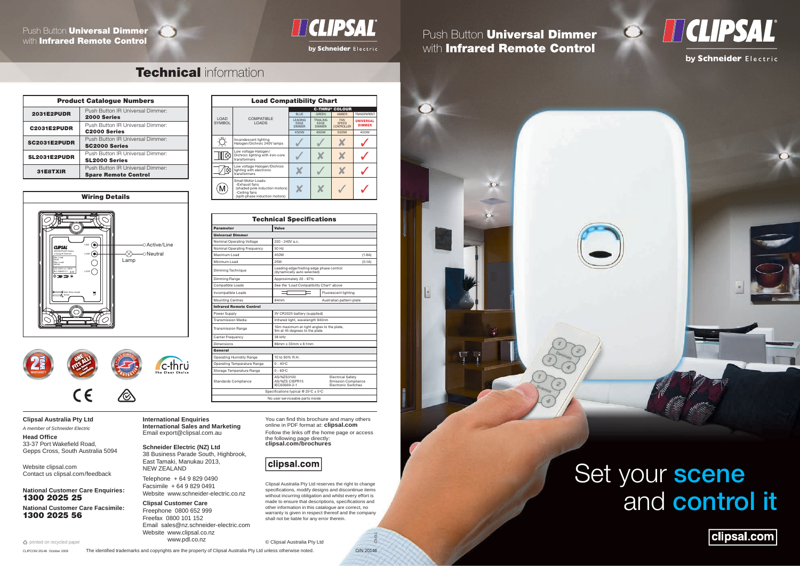# **TECLIPSAL®**

Set your scene and control it

clipsal.com

You can find this brochure and many others online in PDF format at: **clipsal.com**

© Clipsal Australia Pty Ltd

Follow the links off the home page or access the following page directly: **clipsal.com/brochures**

## clipsal.com

*A member of Schneider Electric* **Head Office** 

33-37 Port Wakefield Road, Gepps Cross, South Australia 5094

> Clipsal Australia Pty Ltd reserves the right to change specifications, modify designs and discontinue items without incurring obligation and whilst every effort is made to ensure that descriptions, specifications and other information in this catalogue are correct, no warranty is given in respect thereof and the company shall not be liable for any error therein.

> > C3-011





by Schneider Electric

**Clipsal Australia Pty Ltd**

Website clipsal.com Contact us clipsal.com/feedback

**National Customer Care Enquiries:** 1300 2025 25

**National Customer Care Facsimile:** 1300 2025 56

 $\clubsuit$  printed on recycled paper

**International Enquiries International Sales and Marketing** Email export@clipsal.com.au

Parameter Universal Dimmer

**Schneider Electric (NZ) Ltd** 38 Business Parade South, Highbrook, East Tamaki, Manukau 2013, NEW ZEALAND

Compatible Loads *See the 'Load Compatibility Chart' above* Incompatible Loads Fluorescent lighting Mounting Centres 84mm 84mm Australian pattern plate

Telephone + 64 9 829 0490 Facsimile + 64 9 829 0491 Website www.schneider-electric.co.nz

**Clipsal Customer Care** Freephone 0800 652 999 Freefax 0800 101 152 Email sales@nz.schneider-electric.com Website www.clipsal.co.nz www.pdl.co.nz

Operating Humidity Range 10 to 90% R.H. Operating Temperature Range 0 - 40°C Storage Temperature Range 0 - 60°C

CLIPCOM 20146 October 2009 The identified trademarks and copyrights are the property of Clipsal Australia Pty Ltd unless otherwise noted. O/N 20146

Specifications typical @  $25^{\circ}$ C ± 5°C No user serviceable parts inside

**Technical Specifications** 

LOAD **SYMBOL** 

·Ö

<u> III ș</u>

 $\widehat{M}$ 

C-THRU® COLOUR BLUE | GREEN | AMBER | TRANSPARENT





**NIVERSA** DIMMER 450W 450W 500W 450W

| <b>Product Catalogue Numbers</b> |                                                                 |
|----------------------------------|-----------------------------------------------------------------|
| <b>2031E2PUDR</b>                | Push Button IR Universal Dimmer:<br><b>2000 Series</b>          |
| <b>C2031E2PUDR</b>               | Push Button IR Universal Dimmer:<br><b>C2000 Series</b>         |
| <b>SC2031E2PUDR</b>              | Push Button IR Universal Dimmer:<br><b>SC2000 Series</b>        |
| SL2031E2PUDR                     | Push Button IR Universal Dimmer:<br><b>SL2000 Series</b>        |
| 31E8TXIR                         | Push Button IR Universal Dimmer:<br><b>Spare Remote Control</b> |

Infrared Remote Control

eneral

**Standards Compliance** 

Carrier Frequency 38 kHz

ninal Operating Voltage 220 - 240V a.c. ominal Operating Frequency 50 Hz

Dimensions 86mm x 33mm x 8.1mm

AS/NZS3100 AS/NZS CISPR15 IEC60669-2-1

Electrical Safety Emission Compliance Electronic Switches

Load Compatibility Chart

COMPATIBLE LOADS

w voltage Halogen

voltage Haloge ่<br>เting with electronic<br>ารformers LEADING EDGE DIMMER

Incandescent lighting<br>Halogen/Dichroic 240V lamps √ √ √ **╳** √

Low voltage Halogen/<br>Dichroic lighting with iron-core  $\bigcup$  ズ ズ ズ ブ

TRAILING EDGE DIMMER

by Schneider Electric

## Push Button **Universal Dimmer** with Infrared Remote Control

## **Technical information**

FAN SPEED CONTROLLER

transformers ✘ ✓ ✘ ✓

Maximum Load 450W (1.8A) Minimum Load 25W (0.1A)

dynamically auto selected

limming Technique Leading edge/trailing edge phase control

Small Motor Loads: -Exhaust fans

mming Range Approximately 20 - 97%

Power Supply 3V CR2025 battery (supplied) Transmission Media **Infrared light, wavelength 940nm** Transmission Range 16m maximum at right angles to the plate,<br>9m at 45 degrees to the plate

(shaded pole induction motors) -Ceiling fans (split-phase induction motors)

✘ ✘ ✓ ✓